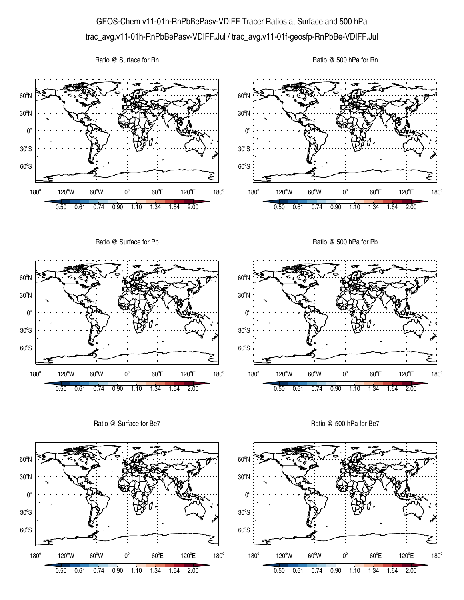## GEOS-Chem v11-01h-RnPbBePasv-VDIFF Tracer Ratios at Surface and 500 hPa trac\_avg.v11-01h-RnPbBePasv-VDIFF.Jul / trac\_avg.v11-01f-geosfp-RnPbBe-VDIFF.Jul

Ratio @ Surface for Rn

Ratio @ 500 hPa for Rn